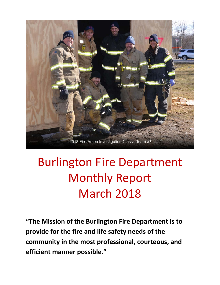

# Burlington Fire Department Monthly Report March 2018

**"The Mission of the Burlington Fire Department is to provide for the fire and life safety needs of the community in the most professional, courteous, and efficient manner possible."**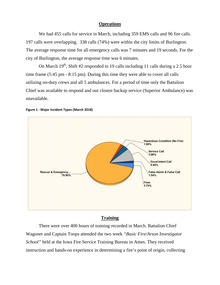#### **Operations**

We had 455 calls for service in March, including 359 EMS calls and 96 fire calls. 197 calls were overlapping. 338 calls (74%) were within the city limits of Burlington. The average response time for all emergency calls was 7 minutes and 19 seconds. For the city of Burlington, the average response time was 6 minutes.

On March  $19<sup>th</sup>$ , Shift #2 responded to 19 calls including 11 calls during a 2.5 hour time frame (5:45 pm - 8:15 pm). During this time they were able to cover all calls utilizing on-duty crews and all 5 ambulances. For a period of time only the Battalion Chief was available to respond and our closest backup service (Superior Ambulance) was unavailable.



#### **Figure 1 - Major Incident Types (March 2018)**

#### **Training**

There were over 400 hours of training recorded in March. Battalion Chief Wagoner and Captain Toops attended the two week *"Basic Fire/Arson Investigator School"* held at the Iowa Fire Service Training Bureau in Ames. They received instruction and hands-on experience in determining a fire's point of origin, collecting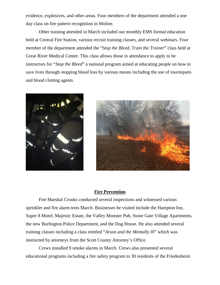evidence, explosives, and other areas. Four members of the department attended a one day class on fire pattern recognition in Moline.

Other training attended in March included our monthly EMS formal education held at Central Fire Station, various recruit training classes, and several webinars. Four member of the department attended the "*Stop the Bleed, Train the Trainer*" class held at Great River Medical Center. This class allows those in attendance to apply to be instructors for "*Stop the Bleed*" a national program aimed at educating people on how to save lives through stopping blood loss by various means including the use of tourniquets and blood clotting agents.





### **Fire Prevention**

Fire Marshal Crooks conducted several inspections and witnessed various sprinkler and fire alarm tests March. Businesses he visited include the Hampton Inn, Super 8 Motel, Majestic Estate, the Valley Monster Pub, Stone Gate Village Apartments, the new Burlington Police Department, and the Dog House. He also attended several training classes including a class entitled "*Arson and the Mentally Ill*" which was instructed by attorneys from the Scott County Attorney's Office.

Crews installed 9 smoke alarms in March. Crews also presented several educational programs including a fire safety program to 30 residents of the Friedenheim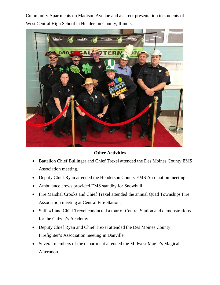Community Apartments on Madison Avenue and a career presentation to students of West Central High School in Henderson County, Illinois.



**Other Activities**

- Battalion Chief Bullinger and Chief Trexel attended the Des Moines County EMS Association meeting.
- Deputy Chief Ryan attended the Henderson County EMS Association meeting.
- Ambulance crews provided EMS standby for Snowbull.
- Fire Marshal Crooks and Chief Trexel attended the annual Quad Townships Fire Association meeting at Central Fire Station.
- Shift #1 and Chief Trexel conducted a tour of Central Station and demonstrations for the Citizen's Academy.
- Deputy Chief Ryan and Chief Trexel attended the Des Moines County Firefighter's Association meeting in Danville.
- Several members of the department attended the Midwest Magic's Magical Afternoon.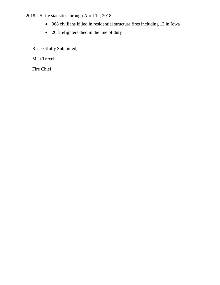2018 US fire statistics through April 12, 2018

- 968 civilians killed in residential structure fires including 13 in Iowa
- 26 firefighters died in the line of duty

Respectfully Submitted,

Matt Trexel

Fire Chief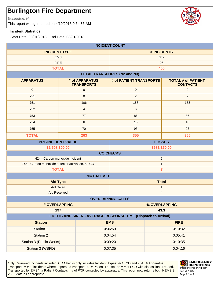Burlington, IA

This report was generated on 4/10/2018 9:34:53 AM

#### **Incident Statistics**

Start Date: 03/01/2018 | End Date: 03/31/2018

| <b>INCIDENT COUNT</b>                                                                |                                     |                                     |                                              |  |
|--------------------------------------------------------------------------------------|-------------------------------------|-------------------------------------|----------------------------------------------|--|
| <b>INCIDENT TYPE</b>                                                                 |                                     |                                     | # INCIDENTS                                  |  |
| <b>EMS</b>                                                                           |                                     | 359                                 |                                              |  |
| <b>FIRE</b>                                                                          |                                     |                                     | 96                                           |  |
| <b>TOTAL</b>                                                                         |                                     |                                     | 455                                          |  |
|                                                                                      |                                     | <b>TOTAL TRANSPORTS (N2 and N3)</b> |                                              |  |
| <b>APPARATUS</b>                                                                     | # of APPARATUS<br><b>TRANSPORTS</b> | # of PATIENT TRANSPORTS             | <b>TOTAL # of PATIENT</b><br><b>CONTACTS</b> |  |
| $\mathbf 0$                                                                          | $\mathsf{O}\xspace$                 | $\pmb{0}$                           | $\mathbf{0}$                                 |  |
| 721                                                                                  | $\mathbf 0$                         | $\overline{2}$                      | $\overline{2}$                               |  |
| 751                                                                                  | 106                                 | 158                                 | 158                                          |  |
| 752                                                                                  | $\overline{4}$                      | $\,6\,$                             | $\,6\,$                                      |  |
| 753                                                                                  | 77                                  | 86                                  | 86                                           |  |
| 754                                                                                  | $\,6\,$                             | 10                                  | 10                                           |  |
| 755                                                                                  | 70                                  | 93                                  | 93                                           |  |
| <b>TOTAL</b>                                                                         | 263                                 | 355                                 | 355                                          |  |
| <b>LOSSES</b><br><b>PRE-INCIDENT VALUE</b>                                           |                                     |                                     |                                              |  |
| \$1,508,300.00                                                                       |                                     | \$581,150.00                        |                                              |  |
|                                                                                      |                                     | <b>CO CHECKS</b>                    |                                              |  |
| 424 - Carbon monoxide incident                                                       |                                     |                                     | 6                                            |  |
| 746 - Carbon monoxide detector activation, no CO                                     |                                     |                                     | $\mathbf{1}$                                 |  |
| <b>TOTAL</b>                                                                         |                                     |                                     | $\overline{7}$                               |  |
|                                                                                      | <b>MUTUAL AID</b>                   |                                     |                                              |  |
| <b>Aid Type</b>                                                                      |                                     | <b>Total</b>                        |                                              |  |
| Aid Given                                                                            |                                     | 1                                   |                                              |  |
| <b>Aid Received</b>                                                                  |                                     | $\overline{\mathbf{4}}$             |                                              |  |
|                                                                                      | <b>OVERLAPPING CALLS</b>            |                                     |                                              |  |
| # OVERLAPPING                                                                        |                                     | % OVERLAPPING                       |                                              |  |
| 197<br>43.3<br><b>LIGHTS AND SIREN - AVERAGE RESPONSE TIME (Dispatch to Arrival)</b> |                                     |                                     |                                              |  |
| <b>Station</b><br><b>EMS</b><br><b>FIRE</b>                                          |                                     |                                     |                                              |  |
| Station 1                                                                            |                                     | 0:06:59                             | 0:10:32                                      |  |
| <b>Station 2</b>                                                                     |                                     | 0:04:54                             | 0:05:41                                      |  |
|                                                                                      |                                     |                                     |                                              |  |
| Station 3 (Public Works)                                                             |                                     | 0:09:20                             | 0:10:35                                      |  |
| Station 3 (WBFD)                                                                     |                                     | 0:07:35                             | 0:04:16                                      |  |

Only Reviewed Incidents included. CO Checks only includes Incident Types: 424, 736 and 734. # Apparatus Transports = # of incidents where apparatus transported. # Patient Transports = # of PCR with disposition "Treated, Transported by EMS". # Patient Contacts = # of PCR contacted by apparatus. This report now returns both NEMSIS 2 & 3 data as appropriate. The set of 2 set of 2 set of 2 set of 2 set of 2 set of 2 set of 2 set of 2 set of 2



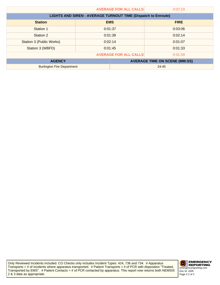|                                                                      | <b>AVERAGE FOR ALL CALLS</b> |            | 0:07:19                              |
|----------------------------------------------------------------------|------------------------------|------------|--------------------------------------|
| <b>LIGHTS AND SIREN - AVERAGE TURNOUT TIME (Dispatch to Enroute)</b> |                              |            |                                      |
| <b>Station</b>                                                       |                              | <b>EMS</b> | <b>FIRE</b>                          |
| Station 1                                                            | 0:01:37                      |            | 0:03:06                              |
| Station 2                                                            | 0:01:39                      |            | 0:02:14                              |
| Station 3 (Public Works)                                             | 0:02:14                      |            | 0:01:07                              |
| Station 3 (WBFD)                                                     | 0:01:45                      |            | 0:01:33                              |
| <b>AVERAGE FOR ALL CALLS</b>                                         |                              |            | 0:01:59                              |
| <b>AGENCY</b>                                                        |                              |            | <b>AVERAGE TIME ON SCENE (MM:SS)</b> |
| <b>Burlington Fire Department</b>                                    |                              | 24:45      |                                      |

Only Reviewed Incidents included. CO Checks only includes Incident Types: 424, 736 and 734. # Apparatus Transports = # of incidents where apparatus transported. # Patient Transports = # of PCR with disposition "Treated, Transported by EMS". # Patient Contacts = # of PCR contacted by apparatus. This report now returns both NEMSIS 2 & 3 data as appropriate.

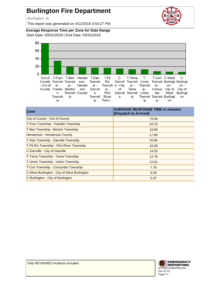Burlington, IA

This report was generated on 4/11/2018 3:54:27 PM



**Average Response Time per Zone for Date Range** Start Date: 03/01/2018 | End Date: 03/31/2018



| <b>Zone</b>                                 | <b>AVERAGE RESPONSE TIME in minutes</b><br>(Dispatch to Arrived) |
|---------------------------------------------|------------------------------------------------------------------|
| Out of County - Out of County               | 79.58                                                            |
| T-Fran Township - Franklin Township         | 34.70                                                            |
| T-Ben Township - Benton Township            | 19.58                                                            |
| Henderson - Henderson County                | 17.89                                                            |
| T-Dan Township - Danville Township          | 16.85                                                            |
| T-FIt Riv Township - Flint River Township   | 16.06                                                            |
| C-Danville - City of Danville               | 14.53                                                            |
| T-Tama Township - Tama Township             | 12.76                                                            |
| T-Union Township - Union Township           | 12.61                                                            |
| T-Con Township - Concordia Township         | 7.76                                                             |
| C-West Burlington - City of West Burlington | 6.59                                                             |
| C-Burlington - City of Burlington           | 5.97                                                             |

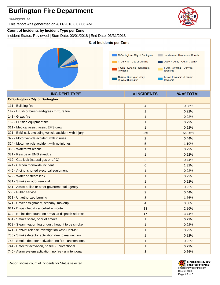Burlington, IA

This report was generated on 4/11/2018 8:07:06 AM

### **Count of Incidents by Incident Type per Zone**

Incident Status: Reviewed | Start Date: 03/01/2018 | End Date: 03/31/2018



**INCIDENT TYPE # INCIDENTS % of TOTAL**

| 4              | 0.88%  |
|----------------|--------|
| 1              | 0.22%  |
| 1              | 0.22%  |
| 1              | 0.22%  |
| 1              | 0.22%  |
| 256            | 56.26% |
| 2              | 0.44%  |
| 5              | 1.10%  |
| 1              | 0.22%  |
| 1              | 0.22%  |
| $\overline{c}$ | 0.44%  |
| 6              | 1.32%  |
| 1              | 0.22%  |
| 1              | 0.22%  |
| 1              | 0.22%  |
| 1              | 0.22%  |
| 2              | 0.44%  |
| 8              | 1.76%  |
| $\overline{4}$ | 0.88%  |
| 13             | 2.86%  |
| 17             | 3.74%  |
| 1              | 0.22%  |
| 1              | 0.22%  |
| 1              | 0.22%  |
| 1              | 0.22%  |
| 1              | 0.22%  |
| 1              | 0.22%  |
| 3              | 0.66%  |
|                |        |

Report shows count of incidents for Status selected.



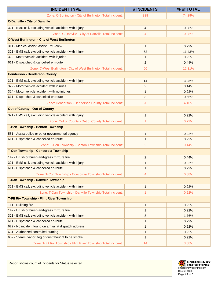| <b>INCIDENT TYPE</b>                                              | # INCIDENTS    | % of TOTAL |
|-------------------------------------------------------------------|----------------|------------|
| Zone: C-Burlington - City of Burlington Total Incident:           | 338            | 74.29%     |
| <b>C-Danville - City of Danville</b>                              |                |            |
| 321 - EMS call, excluding vehicle accident with injury            | 4              | 0.88%      |
| Zone: C-Danville - City of Danville Total Incident:               | 4              | 0.88%      |
| <b>C-West Burlington - City of West Burlington</b>                |                |            |
| 311 - Medical assist, assist EMS crew                             | $\mathbf{1}$   | 0.22%      |
| 321 - EMS call, excluding vehicle accident with injury            | 52             | 11.43%     |
| 322 - Motor vehicle accident with injuries                        | $\mathbf{1}$   | 0.22%      |
| 611 - Dispatched & cancelled en route                             | $\overline{c}$ | 0.44%      |
| Zone: C-West Burlington - City of West Burlington Total Incident: | 56             | 12.31%     |
| <b>Henderson - Henderson County</b>                               |                |            |
| 321 - EMS call, excluding vehicle accident with injury            | 14             | 3.08%      |
| 322 - Motor vehicle accident with injuries                        | 2              | 0.44%      |
| 324 - Motor vehicle accident with no injuries.                    | $\mathbf{1}$   | 0.22%      |
| 611 - Dispatched & cancelled en route                             | 3              | 0.66%      |
| Zone: Henderson - Henderson County Total Incident:                | 20             | 4.40%      |
| <b>Out of County - Out of County</b>                              |                |            |
| 321 - EMS call, excluding vehicle accident with injury            | $\mathbf{1}$   | 0.22%      |
| Zone: Out of County - Out of County Total Incident:               | 1              | 0.22%      |
| <b>T-Ben Township - Benton Township</b>                           |                |            |
| 551 - Assist police or other governmental agency                  | $\mathbf{1}$   | 0.22%      |
| 611 - Dispatched & cancelled en route                             | $\mathbf{1}$   | 0.22%      |
| Zone: T-Ben Township - Benton Township Total Incident:            | 2              | 0.44%      |
| T-Con Township - Concordia Township                               |                |            |
| 142 - Brush or brush-and-grass mixture fire                       | $\overline{c}$ | 0.44%      |
| 321 - EMS call, excluding vehicle accident with injury            | $\mathbf{1}$   | 0.22%      |
| 611 - Dispatched & cancelled en route                             |                | 0.22%      |
| Zone: T-Con Township - Concordia Township Total Incident:         | $\overline{4}$ | 0.88%      |
| T-Dan Township - Danville Township                                |                |            |
| 321 - EMS call, excluding vehicle accident with injury            | $\mathbf{1}$   | 0.22%      |
| Zone: T-Dan Township - Danville Township Total Incident:          |                | 0.22%      |
| T-FIt Riv Township - Flint River Township                         |                |            |
| 111 - Building fire                                               | $\mathbf{1}$   | 0.22%      |
| 142 - Brush or brush-and-grass mixture fire                       | $\mathbf{1}$   | 0.22%      |
| 321 - EMS call, excluding vehicle accident with injury            | 8              | 1.76%      |
| 611 - Dispatched & cancelled en route                             | $\mathbf{1}$   | 0.22%      |
| 622 - No incident found on arrival at dispatch address            | $\mathbf{1}$   | 0.22%      |
| 631 - Authorized controlled burning                               | $\mathbf{1}$   | 0.22%      |
| 652 - Steam, vapor, fog or dust thought to be smoke               | $\mathbf{1}$   | 0.22%      |
| Zone: T-Flt Riv Township - Flint River Township Total Incident:   | 14             | 3.08%      |



Report shows count of incidents for Status selected.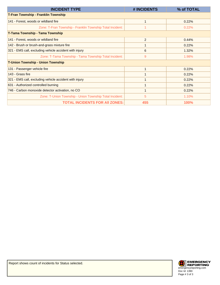| <b>INCIDENT TYPE</b>                                      | # INCIDENTS    | % of TOTAL  |
|-----------------------------------------------------------|----------------|-------------|
| <b>T-Fran Township - Franklin Township</b>                |                |             |
| 141 - Forest, woods or wildland fire                      |                | 0.22%       |
| Zone: T-Fran Township - Franklin Township Total Incident: |                | 0.22%       |
| T-Tama Township - Tama Township                           |                |             |
| 141 - Forest, woods or wildland fire                      | $\overline{2}$ | 0.44%       |
| 142 - Brush or brush-and-grass mixture fire               |                | 0.22%       |
| 321 - EMS call, excluding vehicle accident with injury    | 6              | 1.32%       |
| Zone: T-Tama Township - Tama Township Total Incident:     | 9              | 1.98%       |
| <b>T-Union Township - Union Township</b>                  |                |             |
| 131 - Passenger vehicle fire                              |                | 0.22%       |
| 143 - Grass fire                                          |                | 0.22%       |
| 321 - EMS call, excluding vehicle accident with injury    |                | 0.22%       |
| 631 - Authorized controlled burning                       |                | 0.22%       |
| 746 - Carbon monoxide detector activation, no CO          | 1              | 0.22%       |
| Zone: T-Union Township - Union Township Total Incident:   | 5              | 1.10%       |
| <b>TOTAL INCIDENTS FOR AII ZONES:</b>                     | 455            | <b>100%</b> |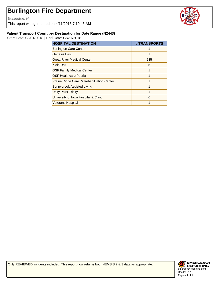Burlington, IA

This report was generated on 4/11/2018 7:19:48 AM



#### **Patient Transport Count per Destination for Date Range (N2-N3)**

Start Date: 03/01/2018 | End Date: 03/31/2018

| <b>HOSPITAL DESTINATION</b>                | # TRANSPORTS |
|--------------------------------------------|--------------|
| <b>Burlington Care Center</b>              |              |
| <b>Genesis East</b>                        |              |
| <b>Great River Medical Center</b>          | 235          |
| <b>Klein Unit</b>                          | 5            |
| <b>OSF Family Medical Center</b>           | 1            |
| <b>OSF Healthcare Peoria</b>               | 1            |
| Prairie Ridge Care & Rehabilitation Center | 1            |
| Sunnybrook Assisted Living                 | 1            |
| Unity Point Trinity                        | 1            |
| University of Iowa Hospital & Clinic       | 6            |
| <b>Veterans Hospital</b>                   |              |

Only REVIEWED incidents included. This report now returns both NEMSIS 2 & 3 data as appropriate.

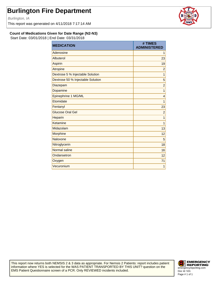Burlington, IA

This report was generated on 4/11/2018 7:17:14 AM



**Count of Medications Given for Date Range (N2-N3)**

Start Date: 03/01/2018 | End Date: 03/31/2018

| <b>MEDICATION</b>                 | # TIMES<br><b>ADMINISTERED</b> |
|-----------------------------------|--------------------------------|
| Adenosine                         | 1                              |
| Albuterol                         | 23                             |
| Aspirin                           | 19                             |
| Atropine                          | $\overline{2}$                 |
| Dextrose 5 % Injectable Solution  | $\mathbf{1}$                   |
| Dextrose 50 % Injectable Solution | 5                              |
| <b>Diazepam</b>                   | $\overline{c}$                 |
| Dopamine                          | 1                              |
| Epinephrine 1 MG/ML               | $\overline{4}$                 |
| Etomidate                         | 1                              |
| Fentanyl                          | 23                             |
| <b>Glucose Oral Gel</b>           | $\overline{c}$                 |
| Heparin                           | 1                              |
| Ketamine                          | 1                              |
| Midazolam                         | 13                             |
| Morphine                          | 12                             |
| Naloxone                          | 5                              |
| Nitroglycerin                     | 18                             |
| Normal saline                     | 16                             |
| Ondansetron                       | 12                             |
| Oxygen                            | 71                             |
| Vecuronium                        | 1                              |

This report now returns both NEMSIS 2 & 3 data as appropriate. For Nemsis 2 Patients: report includes patient information where YES is selected for the WAS PATIENT TRANSPORTED BY THIS UNIT? question on the EMS Patient Questionnaire screen of a PCR. Only REVIEWED incidents included.

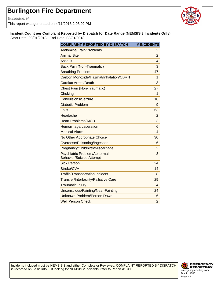Burlington, IA

This report was generated on 4/11/2018 2:08:02 PM



**Incident Count per Complaint Reported by Dispatch for Date Range (NEMSIS 3 Incidents Only)**

Start Date: 03/01/2018 | End Date: 03/31/2018

| <b>COMPLAINT REPORTED BY DISPATCH</b>                           | # INCIDENTS    |
|-----------------------------------------------------------------|----------------|
| <b>Abdominal Pain/Problems</b>                                  | 2              |
| <b>Animal Bite</b>                                              | $\overline{2}$ |
| Assault                                                         | 4              |
| <b>Back Pain (Non-Traumatic)</b>                                | 3              |
| <b>Breathing Problem</b>                                        | 47             |
| Carbon Monoxide/Hazmat/Inhalation/CBRN                          | 1              |
| Cardiac Arrest/Death                                            | 3              |
| Chest Pain (Non-Traumatic)                                      | 27             |
| Choking                                                         | 1              |
| Convulsions/Seizure                                             | 18             |
| Diabetic Problem                                                | 9              |
| <b>Falls</b>                                                    | 63             |
| Headache                                                        | $\overline{2}$ |
| <b>Heart Problems/AICD</b>                                      | 3              |
| Hemorrhage/Laceration                                           | 6              |
| <b>Medical Alarm</b>                                            | 4              |
| No Other Appropriate Choice                                     | 30             |
| Overdose/Poisoning/Ingestion                                    | 6              |
| Pregnancy/Childbirth/Miscarriage                                | $\overline{2}$ |
| Psychiatric Problem/Abnormal<br><b>Behavior/Suicide Attempt</b> | 8              |
| <b>Sick Person</b>                                              | 24             |
| Stroke/CVA                                                      | 14             |
| <b>Traffic/Transportation Incident</b>                          | 8              |
| Transfer/Interfacility/Palliative Care                          | 29             |
| <b>Traumatic Injury</b>                                         | 4              |
| Unconscious/Fainting/Near-Fainting                              | 24             |
| <b>Unknown Problem/Person Down</b>                              | 6              |
| <b>Well Person Check</b>                                        | $\overline{2}$ |

Incidents included must be NEMSIS 3 and either Complete or Reviewed. COMPLAINT REPORTED BY DISPATCH is recorded on Basic Info 5. If looking for NEMSIS 2 Incidents, refer to Report #1041.

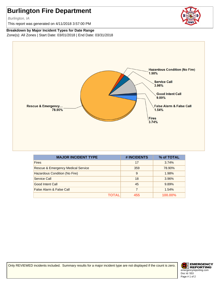Burlington, IA

This report was generated on 4/11/2018 3:57:00 PM

**Breakdown by Major Incident Types for Date Range** Zone(s): All Zones | Start Date: 03/01/2018 | End Date: 03/31/2018



| <b>MAJOR INCIDENT TYPE</b>         | # INCIDENTS | % of TOTAL     |
|------------------------------------|-------------|----------------|
| <b>Fires</b>                       | 17          | 3.74%          |
| Rescue & Emergency Medical Service | 359         | 78.90%         |
| Hazardous Condition (No Fire)      | 9           | 1.98%          |
| Service Call                       | 18          | 3.96%          |
| Good Intent Call                   | 45          | 9.89%          |
| False Alarm & False Call           | 7           | 1.54%          |
| ΤΟΤΑL                              | 455         | <b>100.00%</b> |

Only REVIEWED incidents included. Summary results for a major incident type are not displayed if the count is zero.

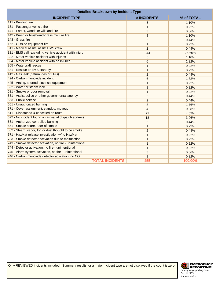| <b>Detailed Breakdown by Incident Type</b>               |                |         |
|----------------------------------------------------------|----------------|---------|
| <b>INCIDENT TYPE</b><br># INCIDENTS<br>% of TOTAL        |                |         |
| 111 - Building fire                                      | 5              | 1.10%   |
| 131 - Passenger vehicle fire                             | $\mathbf{1}$   | 0.22%   |
| 141 - Forest, woods or wildland fire                     | 3              | 0.66%   |
| 142 - Brush or brush-and-grass mixture fire              | 5              | 1.10%   |
| 143 - Grass fire                                         | $\overline{2}$ | 0.44%   |
| 162 - Outside equipment fire                             | $\mathbf{1}$   | 0.22%   |
| 311 - Medical assist, assist EMS crew                    | 2              | 0.44%   |
| 321 - EMS call, excluding vehicle accident with injury   | 344            | 75.60%  |
| 322 - Motor vehicle accident with injuries               | 5              | 1.10%   |
| 324 - Motor vehicle accident with no injuries.           | 6              | 1.32%   |
| 365 - Watercraft rescue                                  | 1              | 0.22%   |
| 381 - Rescue or EMS standby                              | 1              | 0.22%   |
| 412 - Gas leak (natural gas or LPG)                      | $\overline{2}$ | 0.44%   |
| 424 - Carbon monoxide incident                           | 6              | 1.32%   |
| 445 - Arcing, shorted electrical equipment               | 1              | 0.22%   |
| 522 - Water or steam leak                                | 1              | 0.22%   |
| 531 - Smoke or odor removal                              | 1              | 0.22%   |
| 551 - Assist police or other governmental agency         | $\overline{c}$ | 0.44%   |
| 553 - Public service                                     | $\overline{2}$ | 0.44%   |
| 561 - Unauthorized burning                               | 8              | 1.76%   |
| 571 - Cover assignment, standby, moveup                  | $\overline{4}$ | 0.88%   |
| 611 - Dispatched & cancelled en route                    | 21             | 4.62%   |
| 622 - No incident found on arrival at dispatch address   | 18             | 3.96%   |
| 631 - Authorized controlled burning                      | $\overline{2}$ | 0.44%   |
| 651 - Smoke scare, odor of smoke                         | $\mathbf{1}$   | 0.22%   |
| 652 - Steam, vapor, fog or dust thought to be smoke      | $\overline{2}$ | 0.44%   |
| 671 - HazMat release investigation w/no HazMat           | $\mathbf{1}$   | 0.22%   |
| 733 - Smoke detector activation due to malfunction       | 1              | 0.22%   |
| 743 - Smoke detector activation, no fire - unintentional | 1              | 0.22%   |
| 744 - Detector activation, no fire - unintentional       | $\mathbf{1}$   | 0.22%   |
| 745 - Alarm system activation, no fire - unintentional   | 3              | 0.66%   |
| 746 - Carbon monoxide detector activation, no CO         | 1              | 0.22%   |
| <b>TOTAL INCIDENTS:</b>                                  | 455            | 100.00% |

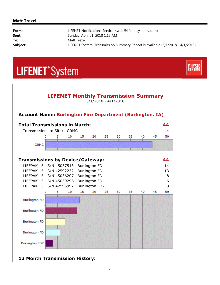#### **Matt Trexel**

i,

| LIFENET Notifications Service <web@lifenetsystems.com></web@lifenetsystems.com> |
|---------------------------------------------------------------------------------|
| Sunday, April 01, 2018 1:15 AM                                                  |
| Matt Trexel                                                                     |
| LIFENET System: Transmission Summary Report is available (3/1/2018 - 4/1/2018)  |
|                                                                                 |

**CONTRO** 

## **LIFENET**<sup>\*</sup>System



**13 Month Transmission History:**